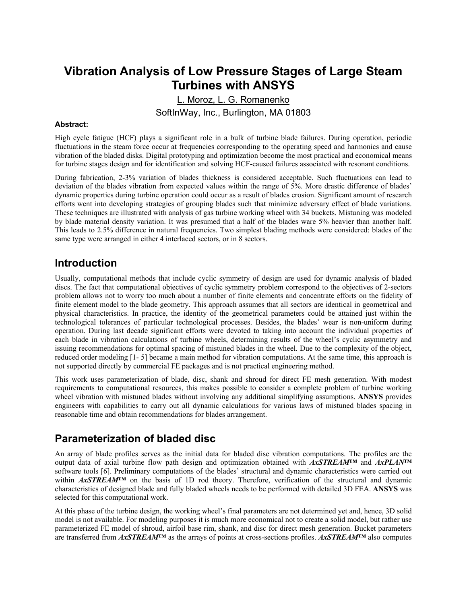# **Vibration Analysis of Low Pressure Stages of Large Steam Turbines with ANSYS**

L. Moroz, L. G. Romanenko SoftInWay, Inc., Burlington, MA 01803

#### **Abstract:**

High cycle fatigue (HCF) plays a significant role in a bulk of turbine blade failures. During operation, periodic fluctuations in the steam force occur at frequencies corresponding to the operating speed and harmonics and cause vibration of the bladed disks. Digital prototyping and optimization become the most practical and economical means for turbine stages design and for identification and solving HCF-caused failures associated with resonant conditions.

During fabrication, 2-3% variation of blades thickness is considered acceptable. Such fluctuations can lead to deviation of the blades vibration from expected values within the range of 5%. More drastic difference of blades' dynamic properties during turbine operation could occur as a result of blades erosion. Significant amount of research efforts went into developing strategies of grouping blades such that minimize adversary effect of blade variations. These techniques are illustrated with analysis of gas turbine working wheel with 34 buckets. Mistuning was modeled by blade material density variation. It was presumed that a half of the blades ware 5% heavier than another half. This leads to 2.5% difference in natural frequencies. Two simplest blading methods were considered: blades of the same type were arranged in either 4 interlaced sectors, or in 8 sectors.

#### **Introduction**

Usually, computational methods that include cyclic symmetry of design are used for dynamic analysis of bladed discs. The fact that computational objectives of cyclic symmetry problem correspond to the objectives of 2-sectors problem allows not to worry too much about a number of finite elements and concentrate efforts on the fidelity of finite element model to the blade geometry. This approach assumes that all sectors are identical in geometrical and physical characteristics. In practice, the identity of the geometrical parameters could be attained just within the technological tolerances of particular technological processes. Besides, the blades' wear is non-uniform during operation. During last decade significant efforts were devoted to taking into account the individual properties of each blade in vibration calculations of turbine wheels, determining results of the wheel's cyclic asymmetry and issuing recommendations for optimal spacing of mistuned blades in the wheel. Due to the complexity of the object, reduced order modeling [1- 5] became a main method for vibration computations. At the same time, this approach is not supported directly by commercial FE packages and is not practical engineering method.

This work uses parameterization of blade, disc, shank and shroud for direct FE mesh generation. With modest requirements to computational resources, this makes possible to consider a complete problem of turbine working wheel vibration with mistuned blades without involving any additional simplifying assumptions. **ANSYS** provides engineers with capabilities to carry out all dynamic calculations for various laws of mistuned blades spacing in reasonable time and obtain recommendations for blades arrangement.

#### **Parameterization of bladed disc**

An array of blade profiles serves as the initial data for bladed disc vibration computations. The profiles are the output data of axial turbine flow path design and optimization obtained with *AxSTREAM™* and *AxPLAN™* software tools [6]. Preliminary computations of the blades' structural and dynamic characteristics were carried out within **AxSTREAM<sup>TM</sup>** on the basis of 1D rod theory. Therefore, verification of the structural and dynamic characteristics of designed blade and fully bladed wheels needs to be performed with detailed 3D FEA. **ANSYS** was selected for this computational work.

At this phase of the turbine design, the working wheel's final parameters are not determined yet and, hence, 3D solid model is not available. For modeling purposes it is much more economical not to create a solid model, but rather use parameterized FE model of shroud, airfoil base rim, shank, and disc for direct mesh generation. Bucket parameters are transferred from *AxSTREAM™* as the arrays of points at cross-sections profiles. *AxSTREAM™* also computes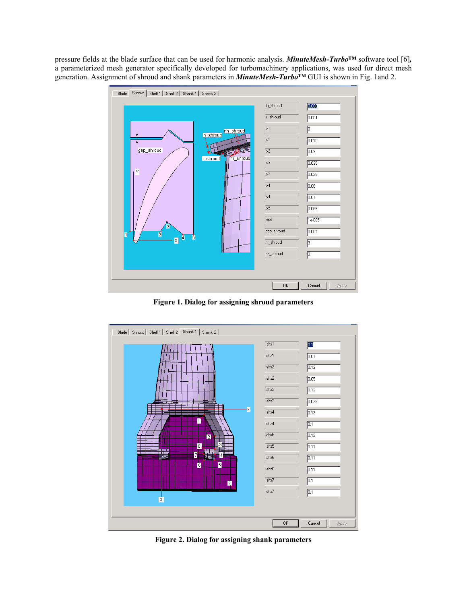pressure fields at the blade surface that can be used for harmonic analysis. *MinuteMesh-Turbo***™** software tool [6]*,*  a parameterized mesh generator specifically developed for turbomachinery applications, was used for direct mesh generation. Assignment of shroud and shank parameters in *MinuteMesh-Turbo***™** GUI is shown in Fig. 1and 2.



**Figure 1. Dialog for assigning shroud parameters** 



**Figure 2. Dialog for assigning shank parameters**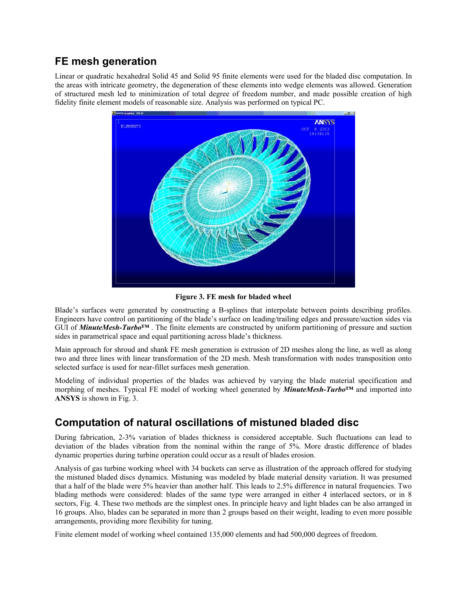#### **FE mesh generation**

Linear or quadratic hexahedral Solid 45 and Solid 95 finite elements were used for the bladed disc computation. In the areas with intricate geometry, the degeneration of these elements into wedge elements was allowed. Generation of structured mesh led to minimization of total degree of freedom number, and made possible creation of high fidelity finite element models of reasonable size. Analysis was performed on typical PC.



**Figure 3. FE mesh for bladed wheel**

Blade's surfaces were generated by constructing a B-splines that interpolate between points describing profiles. Engineers have control on partitioning of the blade's surface on leading/trailing edges and pressure/suction sides via GUI of *MinuteMesh-Turbo***™** . The finite elements are constructed by uniform partitioning of pressure and suction sides in parametrical space and equal partitioning across blade's thickness.

Main approach for shroud and shank FE mesh generation is extrusion of 2D meshes along the line, as well as along two and three lines with linear transformation of the 2D mesh. Mesh transformation with nodes transposition onto selected surface is used for near-fillet surfaces mesh generation.

Modeling of individual properties of the blades was achieved by varying the blade material specification and morphing of meshes. Typical FE model of working wheel generated by *MinuteMesh-Turbo***™** and imported into **ANSYS** is shown in Fig. 3.

## **Computation of natural oscillations of mistuned bladed disc**

During fabrication, 2-3% variation of blades thickness is considered acceptable. Such fluctuations can lead to deviation of the blades vibration from the nominal within the range of 5%. More drastic difference of blades dynamic properties during turbine operation could occur as a result of blades erosion.

Analysis of gas turbine working wheel with 34 buckets can serve as illustration of the approach offered for studying the mistuned bladed discs dynamics. Mistuning was modeled by blade material density variation. It was presumed that a half of the blade were 5% heavier than another half. This leads to 2.5% difference in natural frequencies. Two blading methods were considered: blades of the same type were arranged in either 4 interlaced sectors, or in 8 sectors, Fig. 4. These two methods are the simplest ones. In principle heavy and light blades can be also arranged in 16 groups. Also, blades can be separated in more than 2 groups based on their weight, leading to even more possible arrangements, providing more flexibility for tuning.

Finite element model of working wheel contained 135,000 elements and had 500,000 degrees of freedom.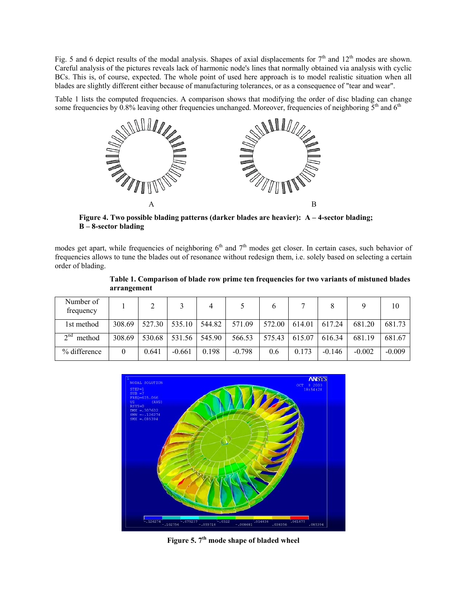Fig. 5 and 6 depict results of the modal analysis. Shapes of axial displacements for  $7<sup>th</sup>$  and  $12<sup>th</sup>$  modes are shown. Careful analysis of the pictures reveals lack of harmonic node's lines that normally obtained via analysis with cyclic BCs. This is, of course, expected. The whole point of used here approach is to model realistic situation when all blades are slightly different either because of manufacturing tolerances, or as a consequence of "tear and wear".

Table 1 lists the computed frequencies. A comparison shows that modifying the order of disc blading can change some frequencies by 0.8% leaving other frequencies unchanged. Moreover, frequencies of neighboring  $5<sup>th</sup>$  and  $6<sup>th</sup>$ 



**Figure 4. Two possible blading patterns (darker blades are heavier): A – 4-sector blading; B – 8-sector blading** 

modes get apart, while frequencies of neighboring  $6<sup>th</sup>$  and  $7<sup>th</sup>$  modes get closer. In certain cases, such behavior of frequencies allows to tune the blades out of resonance without redesign them, i.e. solely based on selecting a certain order of blading.

|                 | Table 1. Comparison of blade row prime ten frequencies for two variants of mistuned blades<br>arrangement |  |  |  |  |  |  |  |  |  |  |
|-----------------|-----------------------------------------------------------------------------------------------------------|--|--|--|--|--|--|--|--|--|--|
| er of<br>------ |                                                                                                           |  |  |  |  |  |  |  |  |  |  |

| Number of<br>frequency |        |        |          |        |          |        |        |          |          | 10       |
|------------------------|--------|--------|----------|--------|----------|--------|--------|----------|----------|----------|
| 1st method             | 308.69 | 527.30 | 535.10   | 544.82 | 571.09   | 572.00 | 614.01 | 617.24   | 681.20   | 681.73   |
| $\gamma$ nd<br>method  | 308.69 | 530.68 | 531.56   | 545.90 | 566.53   | 575.43 | 615.07 | 616.34   | 681.19   | 681.67   |
| % difference           | 0      | 0.641  | $-0.661$ | 0.198  | $-0.798$ | 0.6    | 0.173  | $-0.146$ | $-0.002$ | $-0.009$ |



**Figure 5. 7th mode shape of bladed wheel**